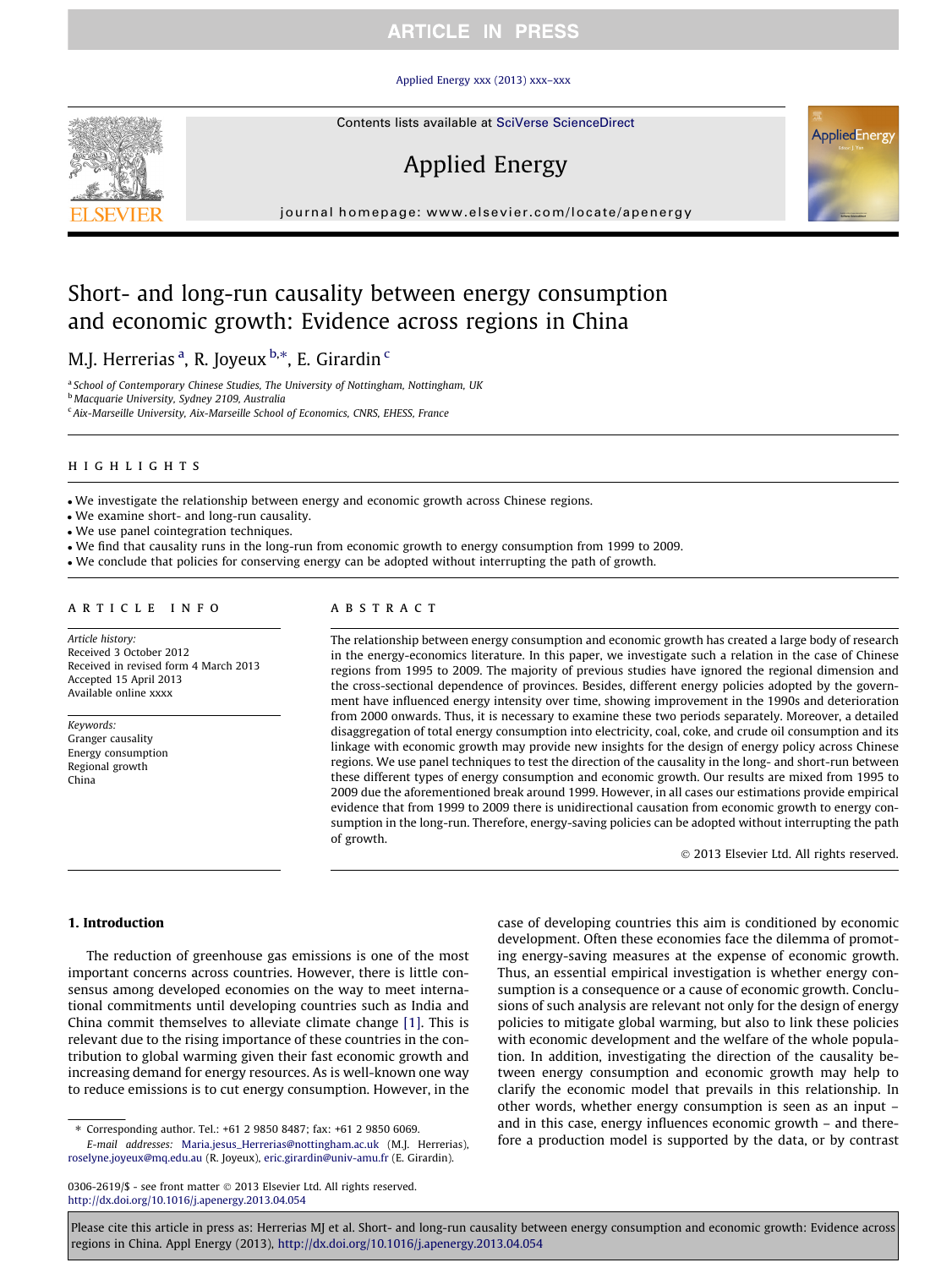## **ARTICLE IN PRESS**

#### [Applied Energy xxx \(2013\) xxx–xxx](http://dx.doi.org/10.1016/j.apenergy.2013.04.054)



# Applied Energy

journal homepage: [www.elsevier.com/locate/apenergy](http://www.elsevier.com/locate/apenergy)

## Short- and long-run causality between energy consumption and economic growth: Evidence across regions in China

M.J. Herrerias <sup>a</sup>, R. Joyeux <sup>b,</sup>\*, E. Girardin <sup>c</sup>

<sup>a</sup> School of Contemporary Chinese Studies, The University of Nottingham, Nottingham, UK <sup>b</sup> Macquarie University, Sydney 2109, Australia <sup>c</sup> Aix-Marseille University, Aix-Marseille School of Economics, CNRS, EHESS, France

#### highlights

- We investigate the relationship between energy and economic growth across Chinese regions.

- We examine short- and long-run causality.

- We use panel cointegration techniques.

- We find that causality runs in the long-run from economic growth to energy consumption from 1999 to 2009.

- We conclude that policies for conserving energy can be adopted without interrupting the path of growth.

#### article info

Article history: Received 3 October 2012 Received in revised form 4 March 2013 Accepted 15 April 2013 Available online xxxx

Keywords: Granger causality Energy consumption Regional growth China

#### ABSTRACT

The relationship between energy consumption and economic growth has created a large body of research in the energy-economics literature. In this paper, we investigate such a relation in the case of Chinese regions from 1995 to 2009. The majority of previous studies have ignored the regional dimension and the cross-sectional dependence of provinces. Besides, different energy policies adopted by the government have influenced energy intensity over time, showing improvement in the 1990s and deterioration from 2000 onwards. Thus, it is necessary to examine these two periods separately. Moreover, a detailed disaggregation of total energy consumption into electricity, coal, coke, and crude oil consumption and its linkage with economic growth may provide new insights for the design of energy policy across Chinese regions. We use panel techniques to test the direction of the causality in the long- and short-run between these different types of energy consumption and economic growth. Our results are mixed from 1995 to 2009 due the aforementioned break around 1999. However, in all cases our estimations provide empirical evidence that from 1999 to 2009 there is unidirectional causation from economic growth to energy consumption in the long-run. Therefore, energy-saving policies can be adopted without interrupting the path of growth.

- 2013 Elsevier Ltd. All rights reserved.

#### 1. Introduction

The reduction of greenhouse gas emissions is one of the most important concerns across countries. However, there is little consensus among developed economies on the way to meet international commitments until developing countries such as India and China commit themselves to alleviate climate change [\[1\]](#page--1-0). This is relevant due to the rising importance of these countries in the contribution to global warming given their fast economic growth and increasing demand for energy resources. As is well-known one way to reduce emissions is to cut energy consumption. However, in the

⇑ Corresponding author. Tel.: +61 2 9850 8487; fax: +61 2 9850 6069. E-mail addresses: [Maria.jesus\\_Herrerias@nottingham.ac.uk](mailto:Maria.jesus_Herrerias@nottingham.ac.uk) (M.J. Herrerias), [roselyne.joyeux@mq.edu.au](mailto:roselyne.joyeux@mq.edu.au) (R. Joyeux), [eric.girardin@univ-amu.fr](mailto:eric.girardin@univ-amu.fr) (E. Girardin).

0306-2619/\$ - see front matter © 2013 Elsevier Ltd. All rights reserved. <http://dx.doi.org/10.1016/j.apenergy.2013.04.054>

case of developing countries this aim is conditioned by economic development. Often these economies face the dilemma of promoting energy-saving measures at the expense of economic growth. Thus, an essential empirical investigation is whether energy consumption is a consequence or a cause of economic growth. Conclusions of such analysis are relevant not only for the design of energy policies to mitigate global warming, but also to link these policies with economic development and the welfare of the whole population. In addition, investigating the direction of the causality between energy consumption and economic growth may help to clarify the economic model that prevails in this relationship. In other words, whether energy consumption is seen as an input – and in this case, energy influences economic growth – and therefore a production model is supported by the data, or by contrast

Please cite this article in press as: Herrerias MJ et al. Short- and long-run causality between energy consumption and economic growth: Evidence across regions in China. Appl Energy (2013), <http://dx.doi.org/10.1016/j.apenergy.2013.04.054>



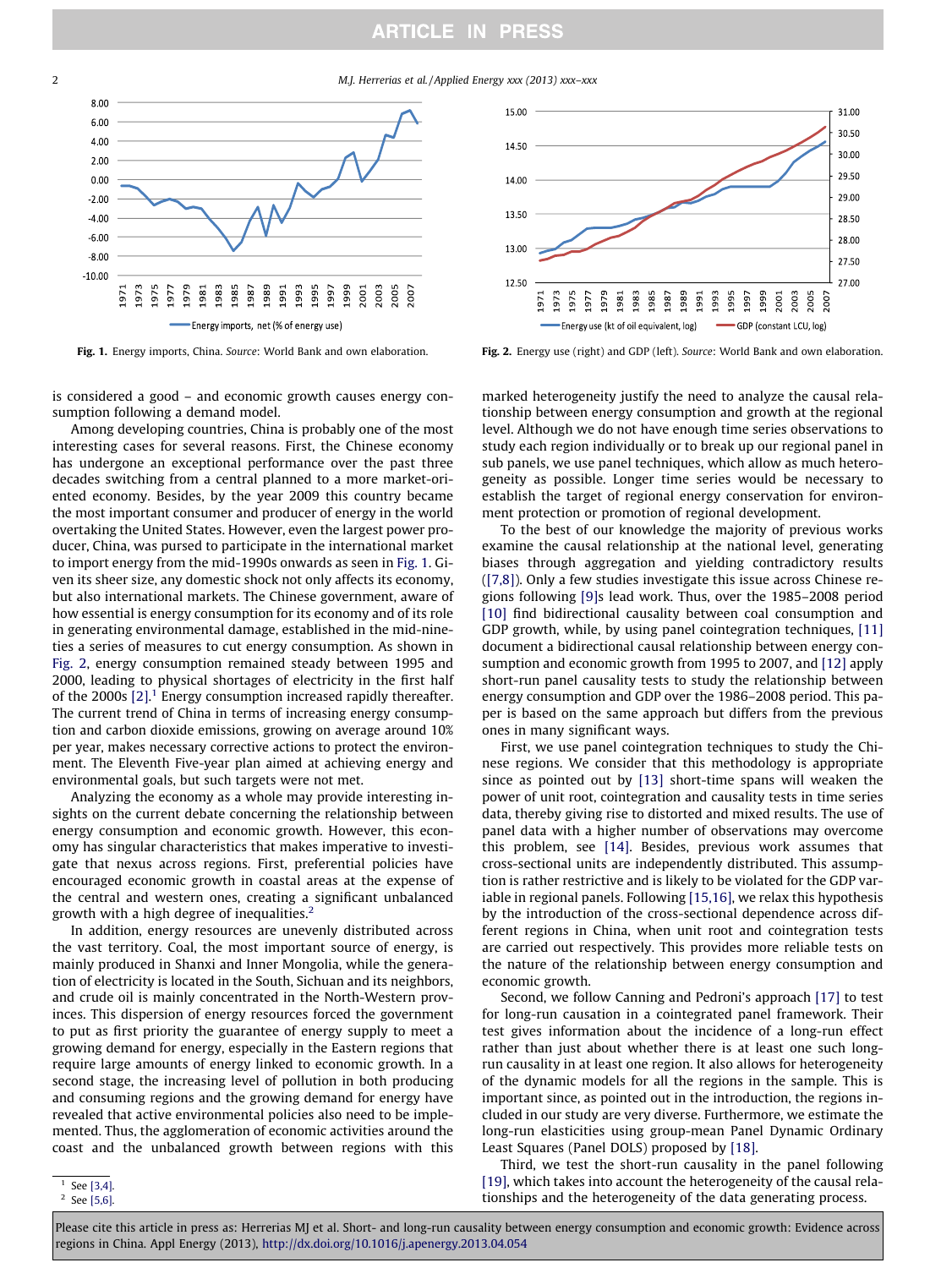### **ARTICLE IN PRESS**

2 M.J. Herrerias et al. / Applied Energy xxx (2013) xxx–xxx



is considered a good – and economic growth causes energy consumption following a demand model.

Among developing countries, China is probably one of the most interesting cases for several reasons. First, the Chinese economy has undergone an exceptional performance over the past three decades switching from a central planned to a more market-oriented economy. Besides, by the year 2009 this country became the most important consumer and producer of energy in the world overtaking the United States. However, even the largest power producer, China, was pursed to participate in the international market to import energy from the mid-1990s onwards as seen in Fig. 1. Given its sheer size, any domestic shock not only affects its economy, but also international markets. The Chinese government, aware of how essential is energy consumption for its economy and of its role in generating environmental damage, established in the mid-nineties a series of measures to cut energy consumption. As shown in Fig. 2, energy consumption remained steady between 1995 and 2000, leading to physical shortages of electricity in the first half of the 2000s  $[2]$ .<sup>1</sup> Energy consumption increased rapidly thereafter. The current trend of China in terms of increasing energy consumption and carbon dioxide emissions, growing on average around 10% per year, makes necessary corrective actions to protect the environment. The Eleventh Five-year plan aimed at achieving energy and environmental goals, but such targets were not met.

Analyzing the economy as a whole may provide interesting insights on the current debate concerning the relationship between energy consumption and economic growth. However, this economy has singular characteristics that makes imperative to investigate that nexus across regions. First, preferential policies have encouraged economic growth in coastal areas at the expense of the central and western ones, creating a significant unbalanced growth with a high degree of inequalities.<sup>2</sup>

In addition, energy resources are unevenly distributed across the vast territory. Coal, the most important source of energy, is mainly produced in Shanxi and Inner Mongolia, while the generation of electricity is located in the South, Sichuan and its neighbors, and crude oil is mainly concentrated in the North-Western provinces. This dispersion of energy resources forced the government to put as first priority the guarantee of energy supply to meet a growing demand for energy, especially in the Eastern regions that require large amounts of energy linked to economic growth. In a second stage, the increasing level of pollution in both producing and consuming regions and the growing demand for energy have revealed that active environmental policies also need to be implemented. Thus, the agglomeration of economic activities around the coast and the unbalanced growth between regions with this



Fig. 1. Energy imports, China. Source: World Bank and own elaboration. Fig. 2. Energy use (right) and GDP (left). Source: World Bank and own elaboration.

marked heterogeneity justify the need to analyze the causal relationship between energy consumption and growth at the regional level. Although we do not have enough time series observations to study each region individually or to break up our regional panel in sub panels, we use panel techniques, which allow as much heterogeneity as possible. Longer time series would be necessary to establish the target of regional energy conservation for environment protection or promotion of regional development.

To the best of our knowledge the majority of previous works examine the causal relationship at the national level, generating biases through aggregation and yielding contradictory results ([\[7,8\]](#page--1-0)). Only a few studies investigate this issue across Chinese regions following [\[9\]](#page--1-0)s lead work. Thus, over the 1985–2008 period [\[10\]](#page--1-0) find bidirectional causality between coal consumption and GDP growth, while, by using panel cointegration techniques, [\[11\]](#page--1-0) document a bidirectional causal relationship between energy consumption and economic growth from 1995 to 2007, and [\[12\]](#page--1-0) apply short-run panel causality tests to study the relationship between energy consumption and GDP over the 1986–2008 period. This paper is based on the same approach but differs from the previous ones in many significant ways.

First, we use panel cointegration techniques to study the Chinese regions. We consider that this methodology is appropriate since as pointed out by [\[13\]](#page--1-0) short-time spans will weaken the power of unit root, cointegration and causality tests in time series data, thereby giving rise to distorted and mixed results. The use of panel data with a higher number of observations may overcome this problem, see [\[14\].](#page--1-0) Besides, previous work assumes that cross-sectional units are independently distributed. This assumption is rather restrictive and is likely to be violated for the GDP variable in regional panels. Following [\[15,16\]](#page--1-0), we relax this hypothesis by the introduction of the cross-sectional dependence across different regions in China, when unit root and cointegration tests are carried out respectively. This provides more reliable tests on the nature of the relationship between energy consumption and economic growth.

Second, we follow Canning and Pedroni's approach [\[17\]](#page--1-0) to test for long-run causation in a cointegrated panel framework. Their test gives information about the incidence of a long-run effect rather than just about whether there is at least one such longrun causality in at least one region. It also allows for heterogeneity of the dynamic models for all the regions in the sample. This is important since, as pointed out in the introduction, the regions included in our study are very diverse. Furthermore, we estimate the long-run elasticities using group-mean Panel Dynamic Ordinary Least Squares (Panel DOLS) proposed by [\[18\].](#page--1-0)

Third, we test the short-run causality in the panel following [\[19\]](#page--1-0), which takes into account the heterogeneity of the causal relationships and the heterogeneity of the data generating process.

 $\frac{1}{1}$  See [\[3,4\]](#page--1-0). <sup>2</sup> See [\[5,6\]](#page--1-0).